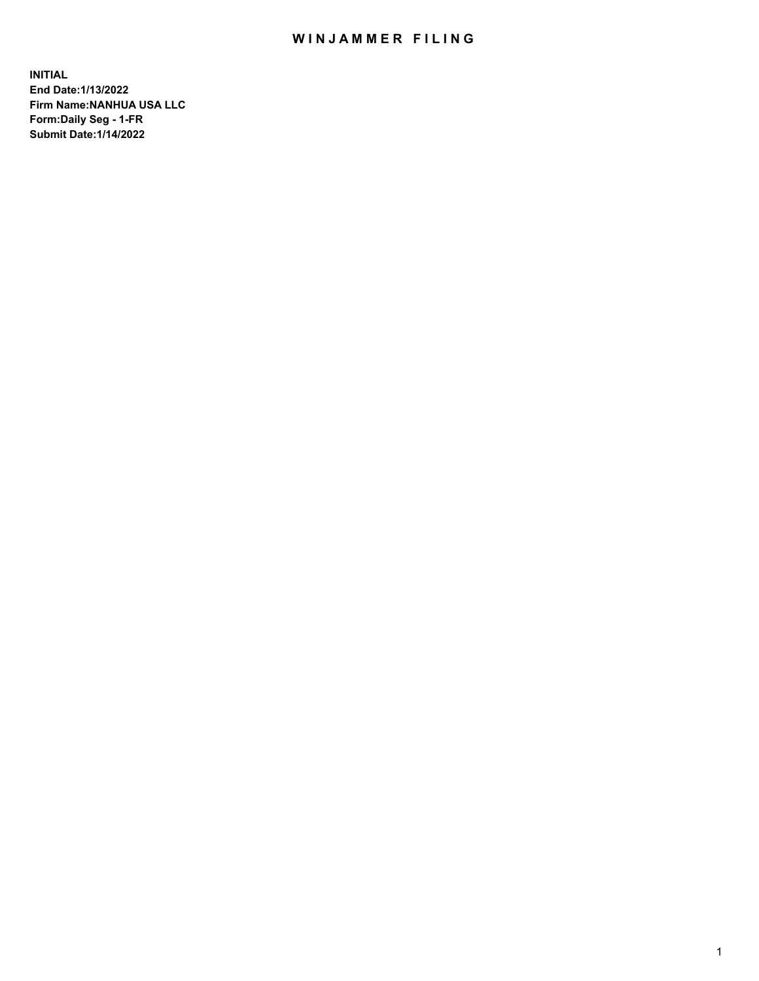## WIN JAMMER FILING

**INITIAL End Date:1/13/2022 Firm Name:NANHUA USA LLC Form:Daily Seg - 1-FR Submit Date:1/14/2022**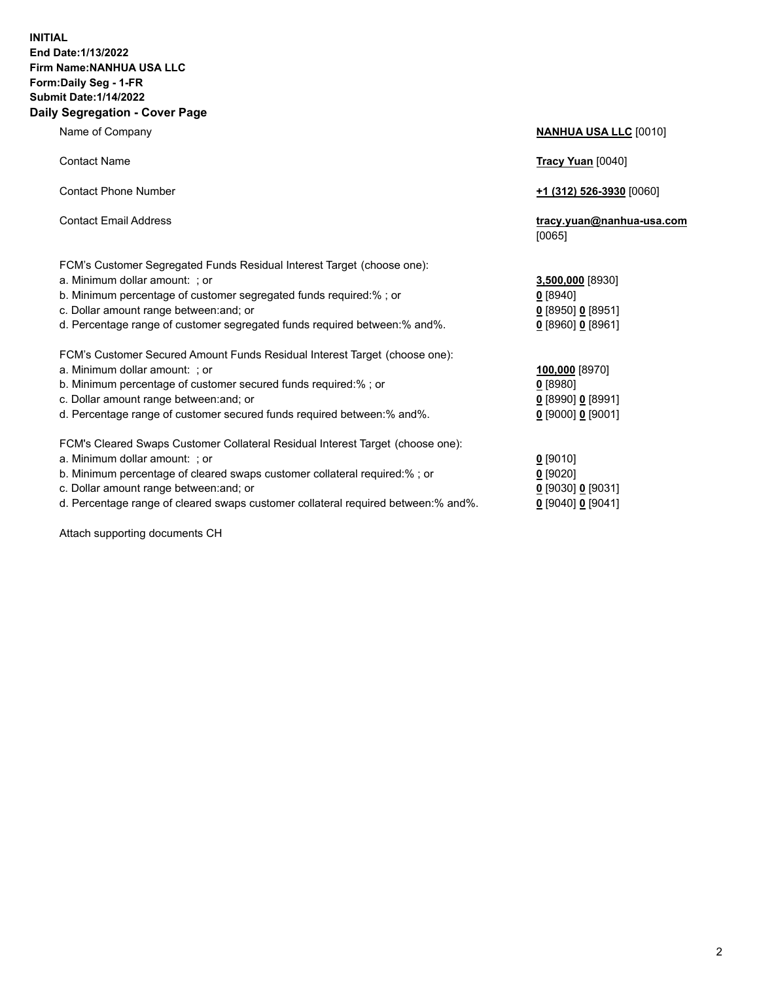## **INITIAL End Date:1/13/2022 Firm Name:NANHUA USA LLC Form:Daily Seg - 1-FR Submit Date:1/14/2022 Daily Segregation - Cover Page**

Name of Company **NANHUA USA LLC** [0010] Contact Name **Tracy Yuan** [0040] Contact Phone Number **+1 (312) 526-3930** [0060] Contact Email Address **tracy.yuan@nanhua-usa.com** [0065] FCM's Customer Segregated Funds Residual Interest Target (choose one): a. Minimum dollar amount: ; or **3,500,000** [8930] b. Minimum percentage of customer segregated funds required:% ; or **0** [8940] c. Dollar amount range between:and; or **0** [8950] **0** [8951] d. Percentage range of customer segregated funds required between:% and%. **0** [8960] **0** [8961] FCM's Customer Secured Amount Funds Residual Interest Target (choose one): a. Minimum dollar amount: ; or **100,000** [8970] b. Minimum percentage of customer secured funds required:% ; or **0** [8980] c. Dollar amount range between:and; or **0** [8990] **0** [8991] d. Percentage range of customer secured funds required between:% and%. **0** [9000] **0** [9001] FCM's Cleared Swaps Customer Collateral Residual Interest Target (choose one): a. Minimum dollar amount: ; or **0** [9010] b. Minimum percentage of cleared swaps customer collateral required:% ; or **0** [9020] c. Dollar amount range between:and; or **0** [9030] **0** [9031]

d. Percentage range of cleared swaps customer collateral required between:% and%. **0** [9040] **0** [9041]

Attach supporting documents CH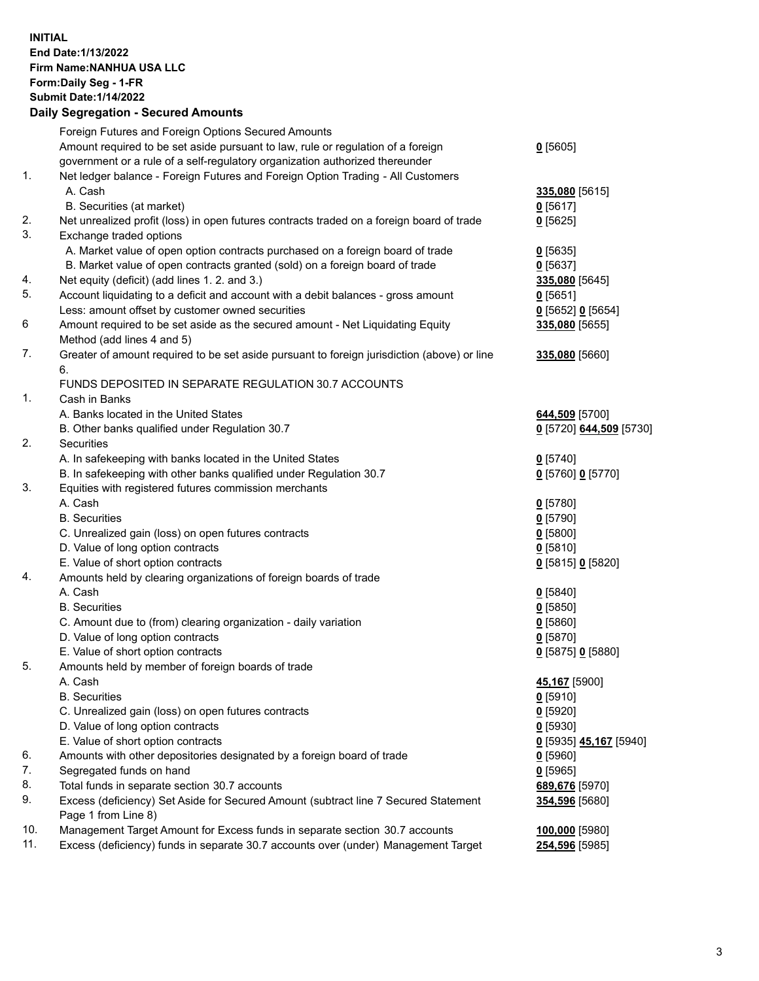## **INITIAL End Date:1/13/2022 Firm Name:NANHUA USA LLC Form:Daily Seg - 1-FR Submit Date:1/14/2022 Daily Segregation - Secured Amounts**

|     | Foreign Futures and Foreign Options Secured Amounts                                         |                         |
|-----|---------------------------------------------------------------------------------------------|-------------------------|
|     | Amount required to be set aside pursuant to law, rule or regulation of a foreign            | $0$ [5605]              |
|     | government or a rule of a self-regulatory organization authorized thereunder                |                         |
| 1.  | Net ledger balance - Foreign Futures and Foreign Option Trading - All Customers             |                         |
|     | A. Cash                                                                                     | 335,080 [5615]          |
|     | B. Securities (at market)                                                                   | $0$ [5617]              |
| 2.  | Net unrealized profit (loss) in open futures contracts traded on a foreign board of trade   | $0$ [5625]              |
| 3.  | Exchange traded options                                                                     |                         |
|     | A. Market value of open option contracts purchased on a foreign board of trade              | $0$ [5635]              |
|     | B. Market value of open contracts granted (sold) on a foreign board of trade                | 0[5637]                 |
| 4.  | Net equity (deficit) (add lines 1. 2. and 3.)                                               | 335,080 [5645]          |
| 5.  | Account liquidating to a deficit and account with a debit balances - gross amount           | $0$ [5651]              |
|     | Less: amount offset by customer owned securities                                            | $0$ [5652] $0$ [5654]   |
| 6   | Amount required to be set aside as the secured amount - Net Liquidating Equity              | 335,080 [5655]          |
|     | Method (add lines 4 and 5)                                                                  |                         |
| 7.  | Greater of amount required to be set aside pursuant to foreign jurisdiction (above) or line | 335,080 [5660]          |
|     | 6.                                                                                          |                         |
|     | FUNDS DEPOSITED IN SEPARATE REGULATION 30.7 ACCOUNTS                                        |                         |
| 1.  | Cash in Banks                                                                               |                         |
|     | A. Banks located in the United States                                                       | 644,509 [5700]          |
|     | B. Other banks qualified under Regulation 30.7                                              | 0 [5720] 644,509 [5730] |
| 2.  | Securities                                                                                  |                         |
|     | A. In safekeeping with banks located in the United States                                   | $0$ [5740]              |
|     | B. In safekeeping with other banks qualified under Regulation 30.7                          | 0 [5760] 0 [5770]       |
| 3.  | Equities with registered futures commission merchants                                       |                         |
|     | A. Cash                                                                                     | $0$ [5780]              |
|     | <b>B.</b> Securities                                                                        | $0$ [5790]              |
|     | C. Unrealized gain (loss) on open futures contracts                                         | $0$ [5800]              |
|     | D. Value of long option contracts                                                           | $0$ [5810]              |
|     | E. Value of short option contracts                                                          | 0 [5815] 0 [5820]       |
| 4.  | Amounts held by clearing organizations of foreign boards of trade                           |                         |
|     | A. Cash                                                                                     | $0$ [5840]              |
|     | <b>B.</b> Securities                                                                        | $0$ [5850]              |
|     | C. Amount due to (from) clearing organization - daily variation                             | 0[5860]                 |
|     | D. Value of long option contracts                                                           | $0$ [5870]              |
|     | E. Value of short option contracts                                                          | 0 [5875] 0 [5880]       |
| 5.  | Amounts held by member of foreign boards of trade                                           |                         |
|     | A. Cash                                                                                     | 45,167 [5900]           |
|     | <b>B.</b> Securities                                                                        | $0$ [5910]              |
|     | C. Unrealized gain (loss) on open futures contracts                                         | $0$ [5920]              |
|     | D. Value of long option contracts                                                           | $0$ [5930]              |
|     | E. Value of short option contracts                                                          | 0 [5935] 45,167 [5940]  |
| 6.  | Amounts with other depositories designated by a foreign board of trade                      | $0$ [5960]              |
| 7.  | Segregated funds on hand                                                                    | $0$ [5965]              |
| 8.  | Total funds in separate section 30.7 accounts                                               | 689,676 [5970]          |
| 9.  | Excess (deficiency) Set Aside for Secured Amount (subtract line 7 Secured Statement         | 354,596 [5680]          |
|     | Page 1 from Line 8)                                                                         |                         |
| 10. | Management Target Amount for Excess funds in separate section 30.7 accounts                 | 100,000 [5980]          |
| 11. | Excess (deficiency) funds in separate 30.7 accounts over (under) Management Target          | 254,596 [5985]          |
|     |                                                                                             |                         |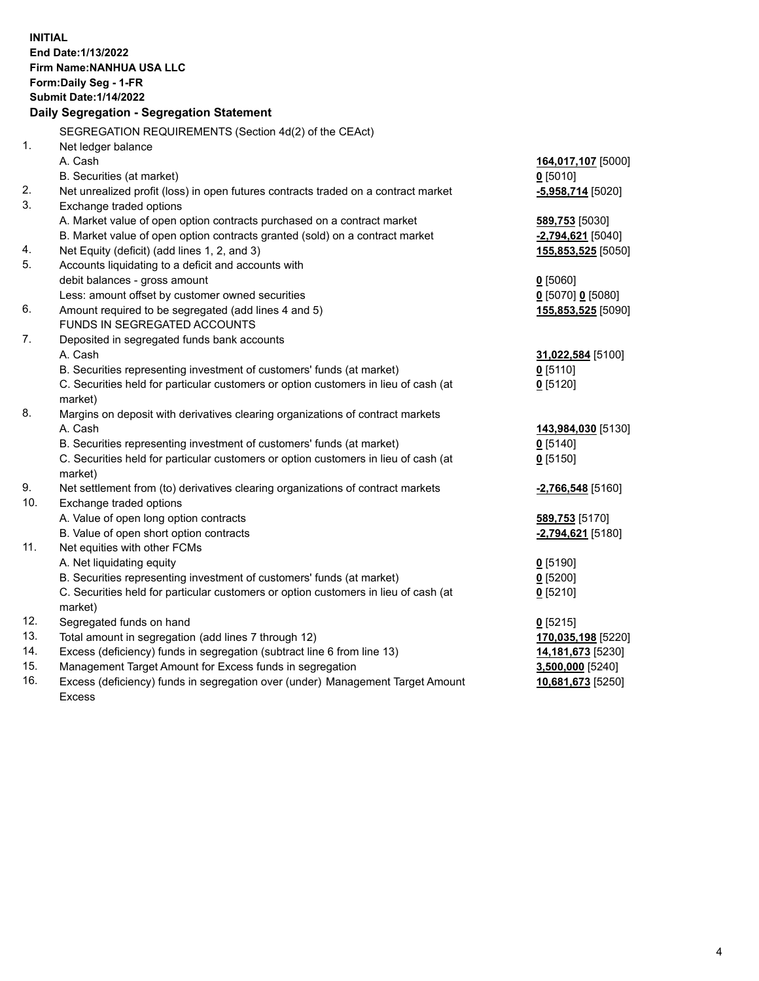| <b>INITIAL</b><br>End Date: 1/13/2022<br>Firm Name: NANHUA USA LLC<br>Form: Daily Seg - 1-FR<br><b>Submit Date: 1/14/2022</b><br>Daily Segregation - Segregation Statement |                                                                                                                                                              |                              |  |  |
|----------------------------------------------------------------------------------------------------------------------------------------------------------------------------|--------------------------------------------------------------------------------------------------------------------------------------------------------------|------------------------------|--|--|
|                                                                                                                                                                            | SEGREGATION REQUIREMENTS (Section 4d(2) of the CEAct)                                                                                                        |                              |  |  |
| 1 <sub>1</sub>                                                                                                                                                             | Net ledger balance                                                                                                                                           |                              |  |  |
|                                                                                                                                                                            | A. Cash                                                                                                                                                      | 164,017,107 [5000]           |  |  |
|                                                                                                                                                                            | B. Securities (at market)                                                                                                                                    | $0$ [5010]                   |  |  |
| 2.                                                                                                                                                                         | Net unrealized profit (loss) in open futures contracts traded on a contract market                                                                           | -5,958,714 [5020]            |  |  |
| 3.                                                                                                                                                                         | Exchange traded options                                                                                                                                      |                              |  |  |
|                                                                                                                                                                            | A. Market value of open option contracts purchased on a contract market                                                                                      | 589,753 [5030]               |  |  |
|                                                                                                                                                                            | B. Market value of open option contracts granted (sold) on a contract market                                                                                 | $-2,794,621$ [5040]          |  |  |
| 4.                                                                                                                                                                         | Net Equity (deficit) (add lines 1, 2, and 3)                                                                                                                 | 155,853,525 [5050]           |  |  |
| 5.                                                                                                                                                                         | Accounts liquidating to a deficit and accounts with                                                                                                          |                              |  |  |
|                                                                                                                                                                            | debit balances - gross amount                                                                                                                                | $0$ [5060]                   |  |  |
|                                                                                                                                                                            | Less: amount offset by customer owned securities                                                                                                             | $0$ [5070] $0$ [5080]        |  |  |
| 6.                                                                                                                                                                         | Amount required to be segregated (add lines 4 and 5)                                                                                                         | 155,853,525 [5090]           |  |  |
|                                                                                                                                                                            | FUNDS IN SEGREGATED ACCOUNTS                                                                                                                                 |                              |  |  |
| 7.                                                                                                                                                                         | Deposited in segregated funds bank accounts                                                                                                                  |                              |  |  |
|                                                                                                                                                                            | A. Cash                                                                                                                                                      | 31,022,584 [5100]            |  |  |
|                                                                                                                                                                            | B. Securities representing investment of customers' funds (at market)                                                                                        | $0$ [5110]                   |  |  |
|                                                                                                                                                                            | C. Securities held for particular customers or option customers in lieu of cash (at                                                                          | $0$ [5120]                   |  |  |
| 8.                                                                                                                                                                         | market)                                                                                                                                                      |                              |  |  |
|                                                                                                                                                                            | Margins on deposit with derivatives clearing organizations of contract markets<br>A. Cash                                                                    |                              |  |  |
|                                                                                                                                                                            |                                                                                                                                                              | 143,984,030 [5130]           |  |  |
|                                                                                                                                                                            | B. Securities representing investment of customers' funds (at market)<br>C. Securities held for particular customers or option customers in lieu of cash (at | $0$ [5140]<br>$0$ [5150]     |  |  |
|                                                                                                                                                                            | market)                                                                                                                                                      |                              |  |  |
| 9.                                                                                                                                                                         | Net settlement from (to) derivatives clearing organizations of contract markets                                                                              | -2,766,548 [5160]            |  |  |
| 10.                                                                                                                                                                        | Exchange traded options                                                                                                                                      |                              |  |  |
|                                                                                                                                                                            | A. Value of open long option contracts                                                                                                                       | <b>589,753</b> [5170]        |  |  |
|                                                                                                                                                                            | B. Value of open short option contracts                                                                                                                      | -2,794,621 <sup>[5180]</sup> |  |  |
| 11.                                                                                                                                                                        | Net equities with other FCMs                                                                                                                                 |                              |  |  |
|                                                                                                                                                                            | A. Net liquidating equity                                                                                                                                    | $0$ [5190]                   |  |  |
|                                                                                                                                                                            | B. Securities representing investment of customers' funds (at market)                                                                                        | $0$ [5200]                   |  |  |
|                                                                                                                                                                            | C. Securities held for particular customers or option customers in lieu of cash (at                                                                          | $0$ [5210]                   |  |  |
|                                                                                                                                                                            | market)                                                                                                                                                      |                              |  |  |
| 12.                                                                                                                                                                        | Segregated funds on hand                                                                                                                                     | $0$ [5215]                   |  |  |
| 13.                                                                                                                                                                        | Total amount in segregation (add lines 7 through 12)                                                                                                         | 170,035,198 [5220]           |  |  |
| 14.                                                                                                                                                                        | Excess (deficiency) funds in segregation (subtract line 6 from line 13)                                                                                      | 14,181,673 [5230]            |  |  |
| 15.                                                                                                                                                                        | Management Target Amount for Excess funds in segregation                                                                                                     | 3,500,000 [5240]             |  |  |
| 16.                                                                                                                                                                        | Excess (deficiency) funds in segregation over (under) Management Target Amount                                                                               | 10,681,673 [5250]            |  |  |
|                                                                                                                                                                            | <b>Excess</b>                                                                                                                                                |                              |  |  |